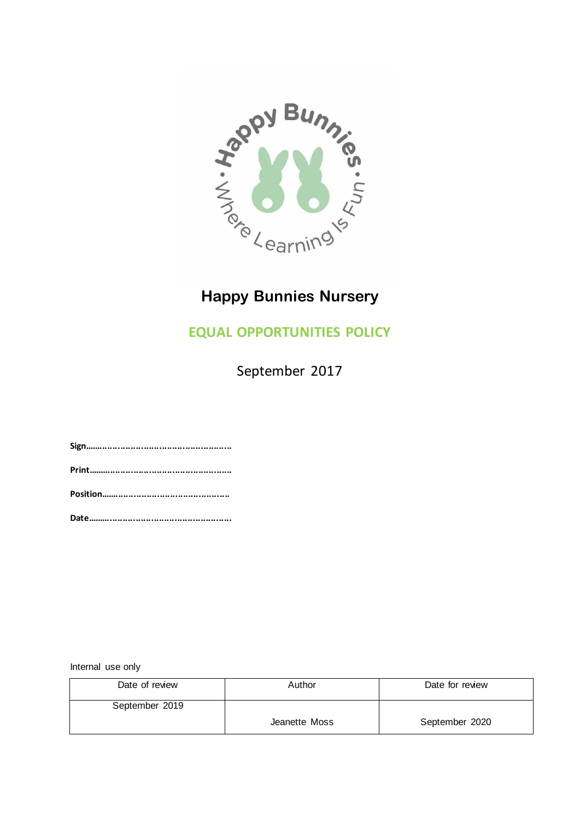

## **Happy Bunnies Nursery**

## **EQUAL OPPORTUNITIES POLICY**

September 2017

**Sign......................................................... Print........................................................ Position..................................................**

**Date........................................................**

Internal use only

| Date of review | Author        | Date for review |
|----------------|---------------|-----------------|
| September 2019 |               |                 |
|                | Jeanette Moss | September 2020  |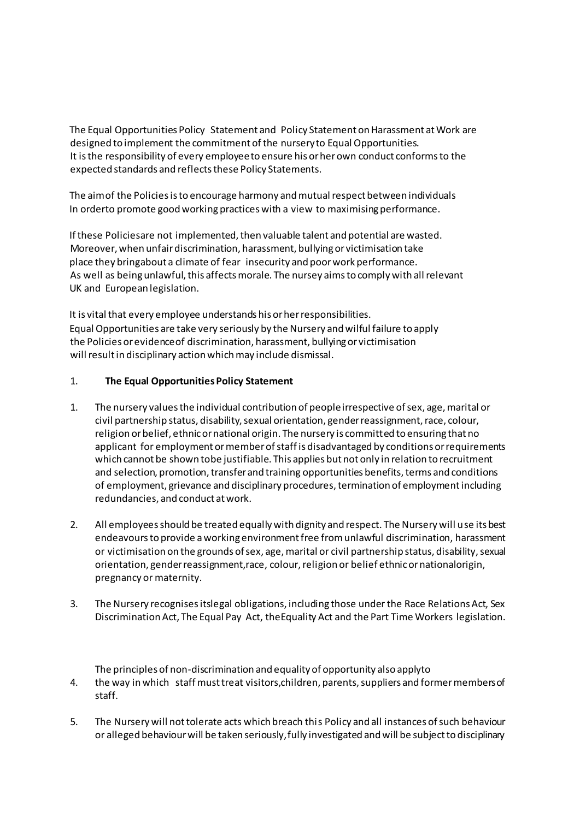The Equal Opportunities Policy Statement and Policy Statement on Harassment at Work are designed to implement the commitment of the nurseryto Equal Opportunities. It is the responsibility of every employee to ensure his or her own conduct conforms to the expected standards and reflects these Policy Statements.

The aimof the Policies is to encourage harmony and mutual respect between individuals In orderto promote good working practices with a view to maximising performance.

If these Policiesare not implemented, then valuable talent and potential are wasted. Moreover, when unfair discrimination, harassment, bullying or victimisation take place they bringabout a climate of fear insecurity and poor work performance. As well as being unlawful, this affects morale. The nursey aims to comply with all relevant UK and European legislation.

It is vital that every employee understands his or her responsibilities. Equal Opportunities are take very seriously by the Nursery and wilful failure to apply the Policies or evidenceof discrimination, harassment, bullying or victimisation will result in disciplinary action which may include dismissal.

## 1. **The Equal Opportunities Policy Statement**

- 1. The nursery values the individual contribution of people irrespective of sex, age, marital or civil partnership status, disability, sexual orientation, gender reassignment, race, colour, religion or belief, ethnic or national origin. The nursery is committed to ensuring that no applicant for employment or member of staff is disadvantaged by conditions or requirements which cannot be shown tobe justifiable. This applies but not only in relation to recruitment and selection, promotion, transfer and training opportunities benefits, terms and conditions of employment, grievance and disciplinary procedures, termination of employment including redundancies, and conduct at work.
- 2. All employees should be treated equally with dignity and respect. The Nursery will use its best endeavours to provide a working environment free from unlawful discrimination, harassment or victimisation on the grounds ofsex, age, marital or civil partnership status, disability, sexual orientation, gender reassignment,race, colour, religion or belief ethnic or nationalorigin, pregnancy or maternity.
- 3. The Nursery recognises itslegal obligations, including those under the Race Relations Act, Sex Discrimination Act, The Equal Pay Act, theEquality Act and the Part Time Workers legislation.

The principles of non-discrimination and equality of opportunity also applyto

- 4. the way in which staff must treat visitors,children, parents, suppliers and former members of staff.
- 5. The Nursery will not tolerate acts which breach this Policy and all instances of such behaviour or alleged behaviour will be taken seriously, fully investigated and will be subject to disciplinary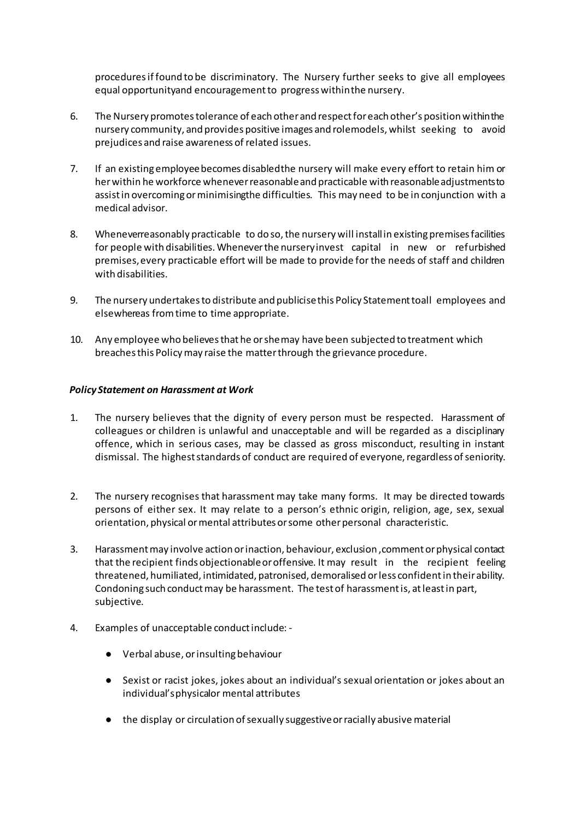procedures if found to be discriminatory. The Nursery further seeks to give all employees equal opportunityand encouragement to progress withinthe nursery.

- 6. The Nursery promotes tolerance of each other and respect for each other's position within the nursery community, and provides positive images and rolemodels, whilst seeking to avoid prejudices and raise awareness of related issues.
- 7. If an existing employee becomes disabledthe nursery will make every effort to retain him or her within he workforce whenever reasonable and practicable with reasonable adjustments to assist in overcoming or minimisingthe difficulties. This may need to be in conjunction with a medical advisor.
- 8. Wheneverreasonably practicable to do so, the nursery will install in existing premises facilities for people with disabilities. Whenever the nurseryinvest capital in new or refurbished premises,every practicable effort will be made to provide for the needs of staff and children with disabilities.
- 9. The nursery undertakes to distribute and publicise this Policy Statement toall employees and elsewhereas fromtime to time appropriate.
- 10. Any employee who believes that he or shemay have been subjected to treatment which breaches this Policy may raise the matter through the grievance procedure.

## *Policy Statement on Harassment at Work*

- 1. The nursery believes that the dignity of every person must be respected. Harassment of colleagues or children is unlawful and unacceptable and will be regarded as a disciplinary offence, which in serious cases, may be classed as gross misconduct, resulting in instant dismissal. The highest standards of conduct are required of everyone, regardless of seniority.
- 2. The nursery recognises that harassment may take many forms. It may be directed towards persons of either sex. It may relate to a person's ethnic origin, religion, age, sex, sexual orientation, physical or mental attributes or some other personal characteristic.
- 3. Harassment may involve action or inaction, behaviour, exclusion ,comment or physical contact that the recipient finds objectionable or offensive. It may result in the recipient feeling threatened, humiliated, intimidated, patronised, demoralised or less confident in their ability. Condoning such conduct may be harassment. The test of harassment is, at least in part, subjective.
- 4. Examples of unacceptable conduct include:
	- Verbal abuse, or insulting behaviour
	- Sexist or racist jokes, jokes about an individual's sexual orientation or jokes about an individual'sphysicalor mental attributes
	- the display or circulation of sexually suggestive or racially abusive material